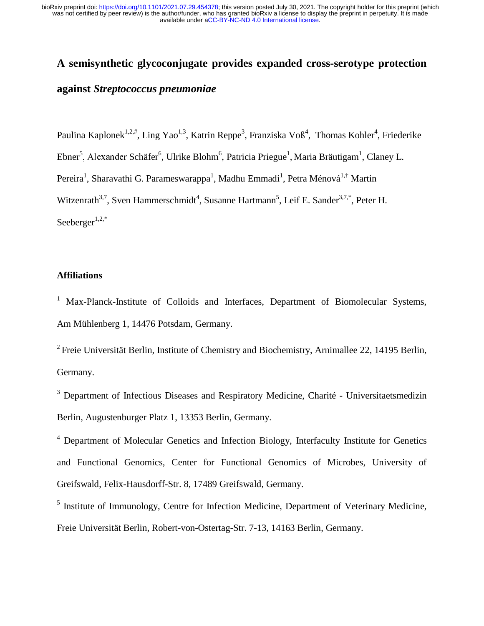# **A semisynthetic glycoconjugate provides expanded cross-serotype protection against** *Streptococcus pneumoniae*

Paulina Kaplonek<sup>1,2,#</sup>, Ling Yao<sup>1,3</sup>, Katrin Reppe<sup>3</sup>, Franziska Voß<sup>4</sup>, Thomas Kohler<sup>4</sup>, Friederike Ebner<sup>5</sup>, Alexander Schäfer<sup>6</sup>, Ulrike Blohm<sup>6</sup>, Patricia Priegue<sup>1</sup>, Maria Bräutigam<sup>1</sup>, Claney L. , Alexander Schäfer<sup>6</sup><br><sup>1</sup>, Sharavathi G. Para<br>
arath<sup>3,7</sup>, Sven Hamme<br>
ger<sup>1,2,\*</sup><br> **tions**<br>
-Planck-Institute of<br>
ühlenberg 1, 14476 F<br>
Universität Berlin, In<br>
ny.<br>
artment of Infectious<br>
Augustenburger Pla<br>
artment of M Pereira<sup>1</sup>, Sharavathi G. Parameswarappa<sup>1</sup>, Madhu Emmadi<sup>1</sup>, Petra Ménová<sup>1,†</sup> Martin Witzenrath<sup>3,7</sup>, Sven Hammerschmidt<sup>4</sup>, Susanne Hartmann<sup>5</sup>, Leif E. Sander<sup>3,7,\*</sup>, Peter H. Seeberger $1,2,*$ 

# **Affiliations**

<sup>1</sup> Max-Planck-Institute of Colloids and Interfaces, Department of Biomolecular Systems, Am Mühlenberg 1, 14476 Potsdam, Germany.

<sup>2</sup> Freie Universität Berlin, Institute of Chemistry and Biochemistry, Arnimallee 22, 14195 Berlin, Germany.

<sup>3</sup> Department of Infectious Diseases and Respiratory Medicine, Charité - Universitaetsmedizin Berlin, Augustenburger Platz 1, 13353 Berlin, Germany.

<sup>4</sup> Department of Molecular Genetics and Infection Biology, Interfaculty Institute for Genetics and Functional Genomics, Center for Functional Genomics of Microbes, University of Greifswald, Felix-Hausdorff-Str. 8, 17489 Greifswald, Germany.

<sup>5</sup> Institute of Immunology, Centre for Infection Medicine, Department of Veterinary Medicine, Freie Universität Berlin, Robert-von-Ostertag-Str. 7-13, 14163 Berlin, Germany.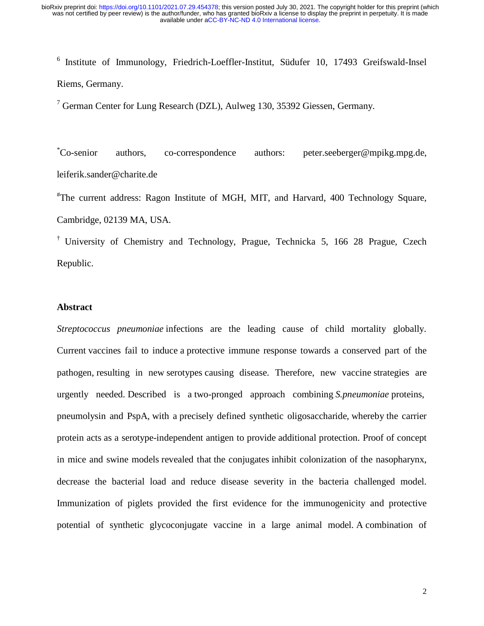$6$  Institute of Immunology, Friedrich-Loeffler-Institut, Südufer 10, 17493 Greifswald-Insel Riems, Germany.

 $7$  German Center for Lung Research (DZL), Aulweg 130, 35392 Giessen, Germany.

\*Co-senior authors, co-correspondence authors: peter.seeberger@mpikg.mpg.de, leiferik.sander@charite.de

# The current address: Ragon Institute of MGH, MIT, and Harvard, 400 Technology Square, Cambridge, 02139 MA, USA.

† University of Chemistry and Technology, Prague, Technicka 5, 166 28 Prague, Czech Republic.

## **Abstract**

*Streptococcus pneumoniae* infections are the leading cause of child mortality globally. Current vaccines fail to induce a protective immune response towards a conserved part of the pathogen, resulting in new serotypes causing disease. Therefore, new vaccine strategies are urgently needed. Described is a two-pronged approach combining *S.pneumoniae* proteins, pneumolysin and PspA, with a precisely defined synthetic oligosaccharide, whereby the carrier protein acts as a serotype-independent antigen to provide additional protection. Proof of concept in mice and swine models revealed that the conjugates inhibit colonization of the nasopharynx, decrease the bacterial load and reduce disease severity in the bacteria challenged model. Immunization of piglets provided the first evidence for the immunogenicity and protective potential of synthetic glycoconjugate vaccine in a large animal model. A combination of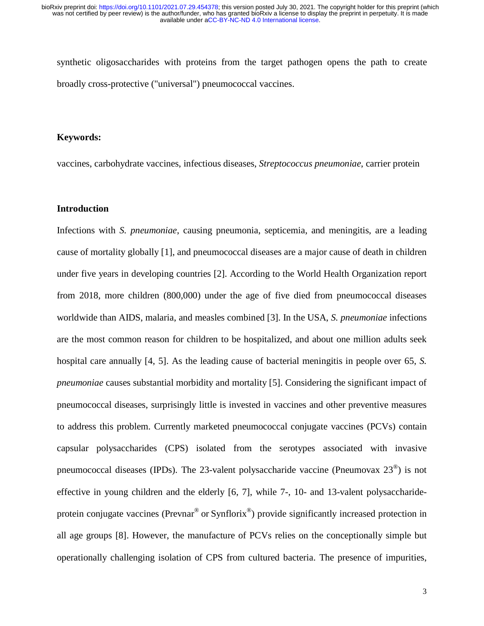synthetic oligosaccharides with proteins from the target pathogen opens the path to create broadly cross-protective ("universal") pneumococcal vaccines.

## **Keywords:**

vaccines, carbohydrate vaccines, infectious diseases, *Streptococcus pneumoniae*, carrier protein

# **Introduction**

Infections with *S. pneumoniae*, causing pneumonia, septicemia, and meningitis, are a leading cause of mortality globally [1], and pneumococcal diseases are a major cause of death in children under five years in developing countries [2]. According to the World Health Organization report from 2018, more children (800,000) under the age of five died from pneumococcal diseases worldwide than AIDS, malaria, and measles combined [3]. In the USA, *S. pneumoniae* infections are the most common reason for children to be hospitalized, and about one million adults seek hospital care annually [4, 5]. As the leading cause of bacterial meningitis in people over 65, *S. pneumoniae* causes substantial morbidity and mortality [5]. Considering the significant impact of pneumococcal diseases, surprisingly little is invested in vaccines and other preventive measures to address this problem. Currently marketed pneumococcal conjugate vaccines (PCVs) contain capsular polysaccharides (CPS) isolated from the serotypes associated with invasive pneumococcal diseases (IPDs). The 23-valent polysaccharide vaccine (Pneumovax 23®) is not effective in young children and the elderly [6, 7], while 7-, 10- and 13-valent polysaccharideprotein conjugate vaccines (Prevnar<sup>®</sup> or Synflorix<sup>®</sup>) provide significantly increased protection in all age groups [8]. However, the manufacture of PCVs relies on the conceptionally simple but operationally challenging isolation of CPS from cultured bacteria. The presence of impurities,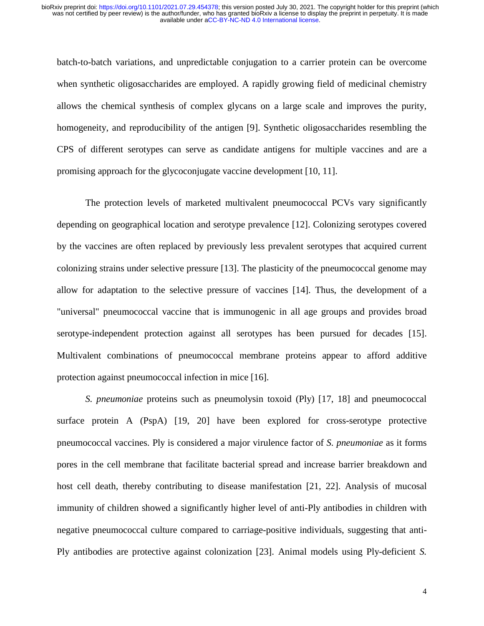batch-to-batch variations, and unpredictable conjugation to a carrier protein can be overcome when synthetic oligosaccharides are employed. A rapidly growing field of medicinal chemistry allows the chemical synthesis of complex glycans on a large scale and improves the purity, homogeneity, and reproducibility of the antigen [9]. Synthetic oligosaccharides resembling the CPS of different serotypes can serve as candidate antigens for multiple vaccines and are a promising approach for the glycoconjugate vaccine development [10, 11].

 The protection levels of marketed multivalent pneumococcal PCVs vary significantly depending on geographical location and serotype prevalence [12]. Colonizing serotypes covered by the vaccines are often replaced by previously less prevalent serotypes that acquired current colonizing strains under selective pressure [13]. The plasticity of the pneumococcal genome may allow for adaptation to the selective pressure of vaccines [14]. Thus, the development of a "universal" pneumococcal vaccine that is immunogenic in all age groups and provides broad serotype-independent protection against all serotypes has been pursued for decades [15]. Multivalent combinations of pneumococcal membrane proteins appear to afford additive protection against pneumococcal infection in mice [16].

*S. pneumoniae* proteins such as pneumolysin toxoid (Ply) [17, 18] and pneumococcal surface protein A (PspA) [19, 20] have been explored for cross-serotype protective pneumococcal vaccines. Ply is considered a major virulence factor of *S. pneumoniae* as it forms pores in the cell membrane that facilitate bacterial spread and increase barrier breakdown and host cell death, thereby contributing to disease manifestation [21, 22]. Analysis of mucosal immunity of children showed a significantly higher level of anti-Ply antibodies in children with negative pneumococcal culture compared to carriage-positive individuals, suggesting that anti-Ply antibodies are protective against colonization [23]. Animal models using Ply-deficient *S.*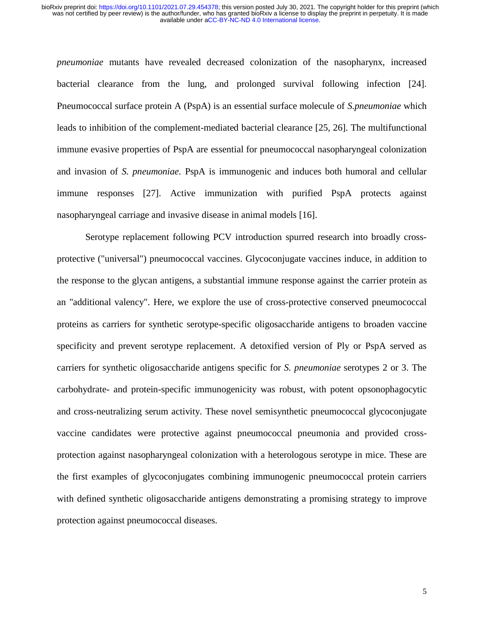*pneumoniae* mutants have revealed decreased colonization of the nasopharynx, increased bacterial clearance from the lung, and prolonged survival following infection [24]. Pneumococcal surface protein A (PspA) is an essential surface molecule of *S.pneumoniae* which leads to inhibition of the complement-mediated bacterial clearance [25, 26]. The multifunctional immune evasive properties of PspA are essential for pneumococcal nasopharyngeal colonization and invasion of *S. pneumoniae.* PspA is immunogenic and induces both humoral and cellular immune responses [27]. Active immunization with purified PspA protects against nasopharyngeal carriage and invasive disease in animal models [16].

Serotype replacement following PCV introduction spurred research into broadly crossprotective ("universal") pneumococcal vaccines. Glycoconjugate vaccines induce, in addition to the response to the glycan antigens, a substantial immune response against the carrier protein as an "additional valency". Here, we explore the use of cross-protective conserved pneumococcal proteins as carriers for synthetic serotype-specific oligosaccharide antigens to broaden vaccine specificity and prevent serotype replacement. A detoxified version of Ply or PspA served as carriers for synthetic oligosaccharide antigens specific for *S. pneumoniae* serotypes 2 or 3. The carbohydrate- and protein-specific immunogenicity was robust, with potent opsonophagocytic and cross-neutralizing serum activity. These novel semisynthetic pneumococcal glycoconjugate vaccine candidates were protective against pneumococcal pneumonia and provided crossprotection against nasopharyngeal colonization with a heterologous serotype in mice. These are the first examples of glycoconjugates combining immunogenic pneumococcal protein carriers with defined synthetic oligosaccharide antigens demonstrating a promising strategy to improve protection against pneumococcal diseases.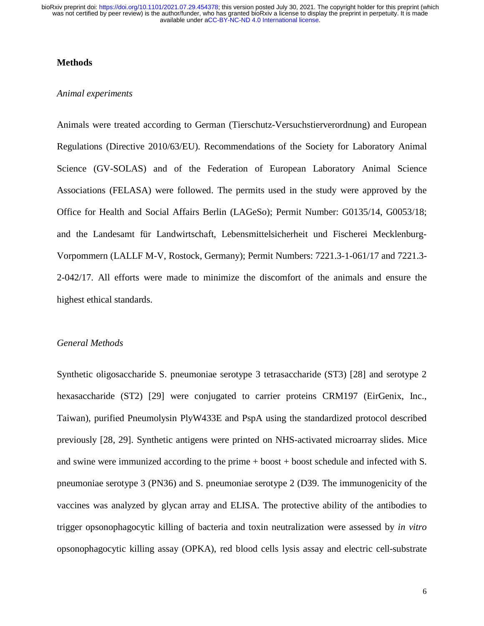## **Methods**

#### *Animal experiments*

Animals were treated according to German (Tierschutz-Versuchstierverordnung) and European Regulations (Directive 2010/63/EU). Recommendations of the Society for Laboratory Animal Science (GV-SOLAS) and of the Federation of European Laboratory Animal Science Associations (FELASA) were followed. The permits used in the study were approved by the Office for Health and Social Affairs Berlin (LAGeSo); Permit Number: G0135/14, G0053/18; and the Landesamt für Landwirtschaft, Lebensmittelsicherheit und Fischerei Mecklenburg-Vorpommern (LALLF M-V, Rostock, Germany); Permit Numbers: 7221.3-1-061/17 and 7221.3- 2-042/17. All efforts were made to minimize the discomfort of the animals and ensure the highest ethical standards.

#### *General Methods*

Synthetic oligosaccharide S. pneumoniae serotype 3 tetrasaccharide (ST3) [28] and serotype 2 hexasaccharide (ST2) [29] were conjugated to carrier proteins CRM197 (EirGenix, Inc., Taiwan), purified Pneumolysin PlyW433E and PspA using the standardized protocol described previously [28, 29]. Synthetic antigens were printed on NHS-activated microarray slides. Mice and swine were immunized according to the prime  $+$  boost  $+$  boost schedule and infected with S. pneumoniae serotype 3 (PN36) and S. pneumoniae serotype 2 (D39. The immunogenicity of the vaccines was analyzed by glycan array and ELISA. The protective ability of the antibodies to trigger opsonophagocytic killing of bacteria and toxin neutralization were assessed by *in vitro* opsonophagocytic killing assay (OPKA), red blood cells lysis assay and electric cell-substrate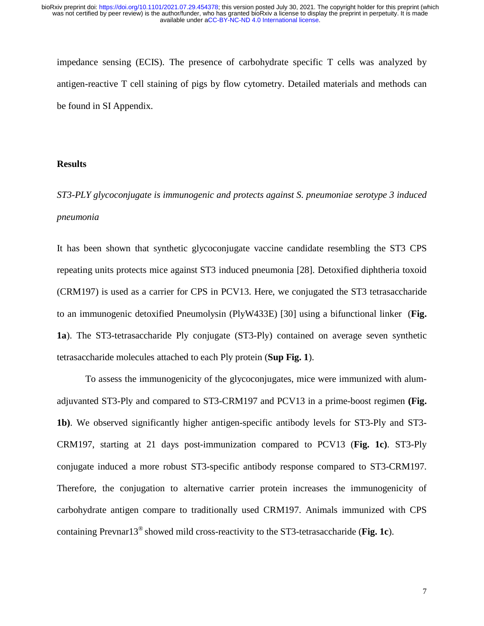impedance sensing (ECIS). The presence of carbohydrate specific T cells was analyzed by antigen-reactive T cell staining of pigs by flow cytometry. Detailed materials and methods can be found in SI Appendix.

## **Results**

*ST3-PLY glycoconjugate is immunogenic and protects against S. pneumoniae serotype 3 induced pneumonia* 

It has been shown that synthetic glycoconjugate vaccine candidate resembling the ST3 CPS repeating units protects mice against ST3 induced pneumonia [28]. Detoxified diphtheria toxoid (CRM197) is used as a carrier for CPS in PCV13. Here, we conjugated the ST3 tetrasaccharide to an immunogenic detoxified Pneumolysin (PlyW433E) [30] using a bifunctional linker (**Fig. 1a**). The ST3-tetrasaccharide Ply conjugate (ST3-Ply) contained on average seven synthetic tetrasaccharide molecules attached to each Ply protein (**Sup Fig. 1**).

To assess the immunogenicity of the glycoconjugates, mice were immunized with alumadjuvanted ST3-Ply and compared to ST3-CRM197 and PCV13 in a prime-boost regimen **(Fig. 1b)**. We observed significantly higher antigen-specific antibody levels for ST3-Ply and ST3- CRM197, starting at 21 days post-immunization compared to PCV13 (**Fig. 1c)**. ST3-Ply conjugate induced a more robust ST3-specific antibody response compared to ST3-CRM197. Therefore, the conjugation to alternative carrier protein increases the immunogenicity of carbohydrate antigen compare to traditionally used CRM197. Animals immunized with CPS containing Prevnar13® showed mild cross-reactivity to the ST3-tetrasaccharide (**Fig. 1c**).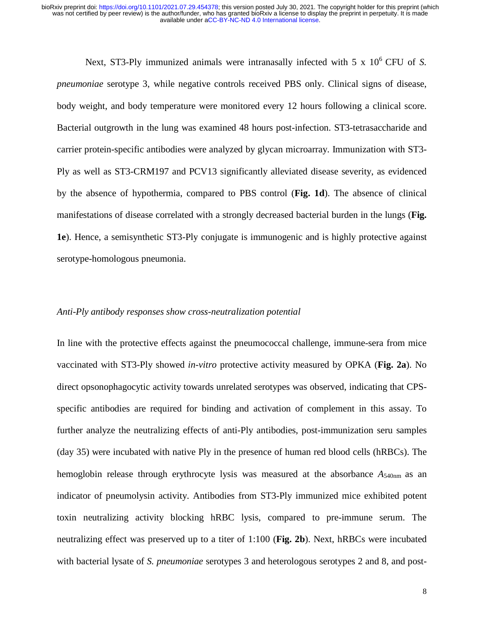Next, ST3-Ply immunized animals were intranasally infected with 5 x 10<sup>6</sup> CFU of S. *pneumoniae* serotype 3, while negative controls received PBS only. Clinical signs of disease, body weight, and body temperature were monitored every 12 hours following a clinical score. Bacterial outgrowth in the lung was examined 48 hours post-infection. ST3-tetrasaccharide and carrier protein-specific antibodies were analyzed by glycan microarray. Immunization with ST3- Ply as well as ST3-CRM197 and PCV13 significantly alleviated disease severity, as evidenced by the absence of hypothermia, compared to PBS control (**Fig. 1d**). The absence of clinical manifestations of disease correlated with a strongly decreased bacterial burden in the lungs (**Fig. 1e**). Hence, a semisynthetic ST3-Ply conjugate is immunogenic and is highly protective against serotype-homologous pneumonia.

#### *Anti-Ply antibody responses show cross-neutralization potential*

In line with the protective effects against the pneumococcal challenge, immune-sera from mice vaccinated with ST3-Ply showed *in-vitro* protective activity measured by OPKA (**Fig. 2a**). No direct opsonophagocytic activity towards unrelated serotypes was observed, indicating that CPSspecific antibodies are required for binding and activation of complement in this assay. To further analyze the neutralizing effects of anti-Ply antibodies, post-immunization seru samples (day 35) were incubated with native Ply in the presence of human red blood cells (hRBCs). The hemoglobin release through erythrocyte lysis was measured at the absorbance  $A_{540nm}$  as an indicator of pneumolysin activity. Antibodies from ST3-Ply immunized mice exhibited potent toxin neutralizing activity blocking hRBC lysis, compared to pre-immune serum. The neutralizing effect was preserved up to a titer of 1:100 (**Fig. 2b**). Next, hRBCs were incubated with bacterial lysate of *S. pneumoniae* serotypes 3 and heterologous serotypes 2 and 8, and post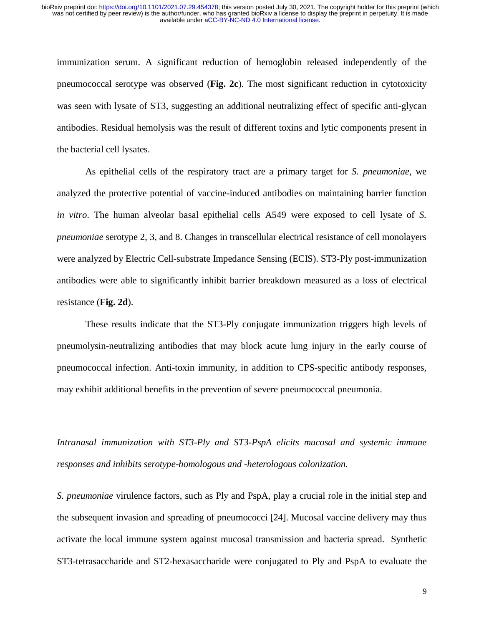immunization serum. A significant reduction of hemoglobin released independently of the pneumococcal serotype was observed (**Fig. 2c**). The most significant reduction in cytotoxicity was seen with lysate of ST3, suggesting an additional neutralizing effect of specific anti-glycan antibodies. Residual hemolysis was the result of different toxins and lytic components present in the bacterial cell lysates.

As epithelial cells of the respiratory tract are a primary target for *S. pneumoniae*, we analyzed the protective potential of vaccine-induced antibodies on maintaining barrier function *in vitro*. The human alveolar basal epithelial cells A549 were exposed to cell lysate of *S. pneumoniae* serotype 2, 3, and 8. Changes in transcellular electrical resistance of cell monolayers were analyzed by Electric Cell-substrate Impedance Sensing (ECIS). ST3-Ply post-immunization antibodies were able to significantly inhibit barrier breakdown measured as a loss of electrical resistance (**Fig. 2d**).

These results indicate that the ST3-Ply conjugate immunization triggers high levels of pneumolysin-neutralizing antibodies that may block acute lung injury in the early course of pneumococcal infection. Anti-toxin immunity, in addition to CPS-specific antibody responses, may exhibit additional benefits in the prevention of severe pneumococcal pneumonia.

*Intranasal immunization with ST3-Ply and ST3-PspA elicits mucosal and systemic immune responses and inhibits serotype-homologous and -heterologous colonization.* 

*S. pneumoniae* virulence factors, such as Ply and PspA, play a crucial role in the initial step and the subsequent invasion and spreading of pneumococci [24]. Mucosal vaccine delivery may thus activate the local immune system against mucosal transmission and bacteria spread. Synthetic ST3-tetrasaccharide and ST2-hexasaccharide were conjugated to Ply and PspA to evaluate the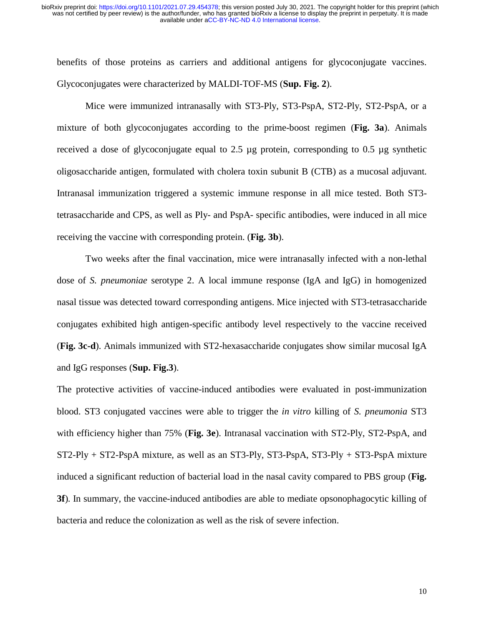benefits of those proteins as carriers and additional antigens for glycoconjugate vaccines. Glycoconjugates were characterized by MALDI-TOF-MS (**Sup. Fig. 2**).

Mice were immunized intranasally with ST3-Ply, ST3-PspA, ST2-Ply, ST2-PspA, or a mixture of both glycoconjugates according to the prime-boost regimen (**Fig. 3a**). Animals received a dose of glycoconjugate equal to 2.5 µg protein, corresponding to 0.5 µg synthetic oligosaccharide antigen, formulated with cholera toxin subunit B (CTB) as a mucosal adjuvant. Intranasal immunization triggered a systemic immune response in all mice tested. Both ST3 tetrasaccharide and CPS, as well as Ply- and PspA- specific antibodies, were induced in all mice receiving the vaccine with corresponding protein. (**Fig. 3b**).

Two weeks after the final vaccination, mice were intranasally infected with a non-lethal dose of *S. pneumoniae* serotype 2. A local immune response (IgA and IgG) in homogenized nasal tissue was detected toward corresponding antigens. Mice injected with ST3-tetrasaccharide conjugates exhibited high antigen-specific antibody level respectively to the vaccine received (**Fig. 3c-d**). Animals immunized with ST2-hexasaccharide conjugates show similar mucosal IgA and IgG responses (**Sup. Fig.3**).

The protective activities of vaccine-induced antibodies were evaluated in post-immunization blood. ST3 conjugated vaccines were able to trigger the *in vitro* killing of *S. pneumonia* ST3 with efficiency higher than 75% (**Fig. 3e**). Intranasal vaccination with ST2-Ply, ST2-PspA, and  $ST2-Ply + ST2-PspA mixture$ , as well as an  $ST3-Ply$ ,  $ST3-PspA$ ,  $ST3-Ply + ST3-PspA mixture$ induced a significant reduction of bacterial load in the nasal cavity compared to PBS group (**Fig. 3f**). In summary, the vaccine-induced antibodies are able to mediate opsonophagocytic killing of bacteria and reduce the colonization as well as the risk of severe infection.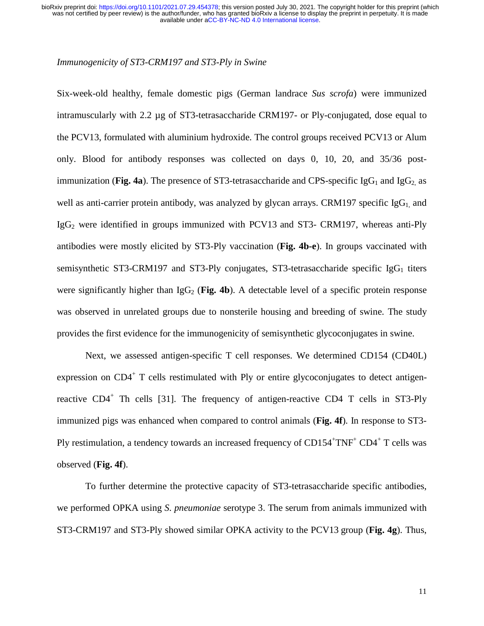## *Immunogenicity of ST3-CRM197 and ST3-Ply in Swine*

Six-week-old healthy, female domestic pigs (German landrace *Sus scrofa*) were immunized intramuscularly with 2.2 µg of ST3-tetrasaccharide CRM197- or Ply-conjugated, dose equal to the PCV13, formulated with aluminium hydroxide. The control groups received PCV13 or Alum only. Blood for antibody responses was collected on days 0, 10, 20, and 35/36 postimmunization (**Fig. 4a**). The presence of ST3-tetrasaccharide and CPS-specific  $IgG_1$  and  $IgG_2$  as well as anti-carrier protein antibody, was analyzed by glycan arrays. CRM197 specific  $I_gG_1$  and  $IgG<sub>2</sub>$  were identified in groups immunized with PCV13 and ST3- CRM197, whereas anti-Ply antibodies were mostly elicited by ST3-Ply vaccination (**Fig. 4b-e**). In groups vaccinated with semisynthetic ST3-CRM197 and ST3-Ply conjugates, ST3-tetrasaccharide specific  $I_{\mathcal{B}}G_1$  titers were significantly higher than  $I_{\mathcal{B}}G_2$  (Fig. 4b). A detectable level of a specific protein response was observed in unrelated groups due to nonsterile housing and breeding of swine. The study provides the first evidence for the immunogenicity of semisynthetic glycoconjugates in swine.

Next, we assessed antigen-specific T cell responses. We determined CD154 (CD40L) expression on CD4<sup>+</sup> T cells restimulated with Ply or entire glycoconjugates to detect antigenreactive CD4<sup>+</sup> Th cells [31]. The frequency of antigen-reactive CD4 T cells in ST3-Ply immunized pigs was enhanced when compared to control animals (**Fig. 4f**). In response to ST3- Ply restimulation, a tendency towards an increased frequency of  $CD154+TNF+CD4+T$  cells was observed (**Fig. 4f**).

 To further determine the protective capacity of ST3-tetrasaccharide specific antibodies, we performed OPKA using *S. pneumoniae* serotype 3. The serum from animals immunized with ST3-CRM197 and ST3-Ply showed similar OPKA activity to the PCV13 group (**Fig. 4g**). Thus,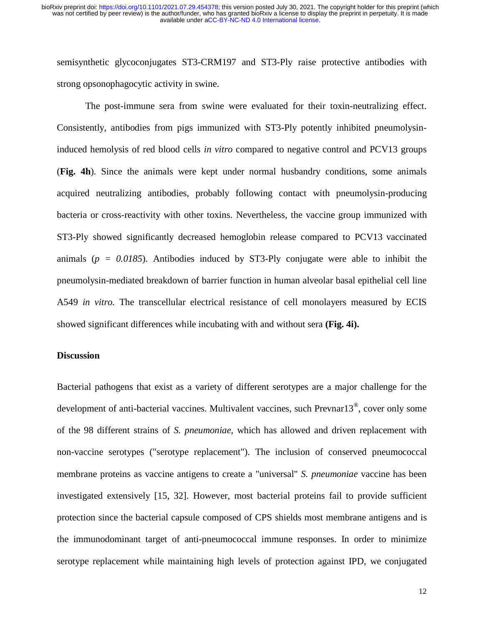semisynthetic glycoconjugates ST3-CRM197 and ST3-Ply raise protective antibodies with strong opsonophagocytic activity in swine.

The post-immune sera from swine were evaluated for their toxin-neutralizing effect. Consistently, antibodies from pigs immunized with ST3-Ply potently inhibited pneumolysininduced hemolysis of red blood cells *in vitro* compared to negative control and PCV13 groups (**Fig. 4h**). Since the animals were kept under normal husbandry conditions, some animals acquired neutralizing antibodies, probably following contact with pneumolysin-producing bacteria or cross-reactivity with other toxins. Nevertheless, the vaccine group immunized with ST3-Ply showed significantly decreased hemoglobin release compared to PCV13 vaccinated animals (*p = 0.0185*). Antibodies induced by ST3-Ply conjugate were able to inhibit the pneumolysin-mediated breakdown of barrier function in human alveolar basal epithelial cell line A549 *in vitro.* The transcellular electrical resistance of cell monolayers measured by ECIS showed significant differences while incubating with and without sera **(Fig. 4i).** 

#### **Discussion**

Bacterial pathogens that exist as a variety of different serotypes are a major challenge for the development of anti-bacterial vaccines. Multivalent vaccines, such Prevnar13®, cover only some of the 98 different strains of *S. pneumoniae,* which has allowed and driven replacement with non-vaccine serotypes ("serotype replacement"). The inclusion of conserved pneumococcal membrane proteins as vaccine antigens to create a "universal" *S. pneumoniae* vaccine has been investigated extensively [15, 32]. However, most bacterial proteins fail to provide sufficient protection since the bacterial capsule composed of CPS shields most membrane antigens and is the immunodominant target of anti-pneumococcal immune responses. In order to minimize serotype replacement while maintaining high levels of protection against IPD, we conjugated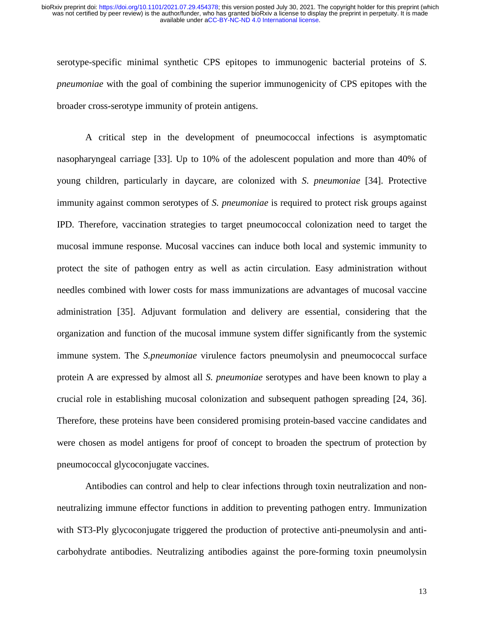serotype-specific minimal synthetic CPS epitopes to immunogenic bacterial proteins of *S. pneumoniae* with the goal of combining the superior immunogenicity of CPS epitopes with the broader cross-serotype immunity of protein antigens.

A critical step in the development of pneumococcal infections is asymptomatic nasopharyngeal carriage [33]. Up to 10% of the adolescent population and more than 40% of young children, particularly in daycare, are colonized with *S. pneumoniae* [34]. Protective immunity against common serotypes of *S. pneumoniae* is required to protect risk groups against IPD. Therefore, vaccination strategies to target pneumococcal colonization need to target the mucosal immune response. Mucosal vaccines can induce both local and systemic immunity to protect the site of pathogen entry as well as actin circulation. Easy administration without needles combined with lower costs for mass immunizations are advantages of mucosal vaccine administration [35]. Adjuvant formulation and delivery are essential, considering that the organization and function of the mucosal immune system differ significantly from the systemic immune system. The *S.pneumoniae* virulence factors pneumolysin and pneumococcal surface protein A are expressed by almost all *S. pneumoniae* serotypes and have been known to play a crucial role in establishing mucosal colonization and subsequent pathogen spreading [24, 36]. Therefore, these proteins have been considered promising protein-based vaccine candidates and were chosen as model antigens for proof of concept to broaden the spectrum of protection by pneumococcal glycoconjugate vaccines.

Antibodies can control and help to clear infections through toxin neutralization and nonneutralizing immune effector functions in addition to preventing pathogen entry. Immunization with ST3-Ply glycoconjugate triggered the production of protective anti-pneumolysin and anticarbohydrate antibodies. Neutralizing antibodies against the pore-forming toxin pneumolysin

13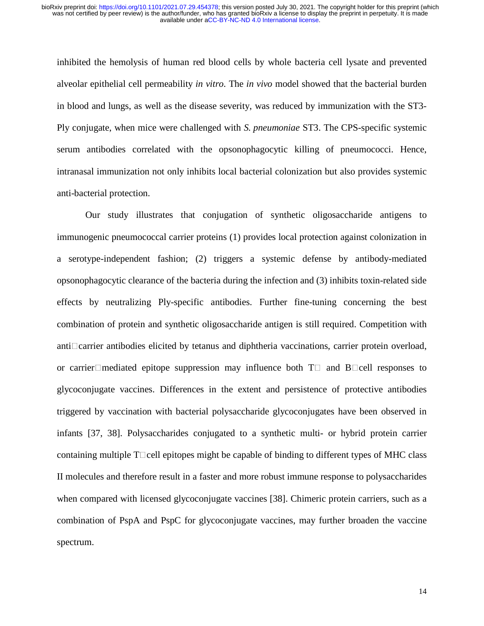inhibited the hemolysis of human red blood cells by whole bacteria cell lysate and prevented alveolar epithelial cell permeability *in vitro.* The *in vivo* model showed that the bacterial burden in blood and lungs, as well as the disease severity, was reduced by immunization with the ST3- Ply conjugate, when mice were challenged with *S. pneumoniae* ST3. The CPS-specific systemic serum antibodies correlated with the opsonophagocytic killing of pneumococci. Hence, intranasal immunization not only inhibits local bacterial colonization but also provides systemic anti-bacterial protection.

Our study illustrates that conjugation of synthetic oligosaccharide antigens to immunogenic pneumococcal carrier proteins (1) provides local protection against colonization in a serotype-independent fashion; (2) triggers a systemic defense by antibody-mediated opsonophagocytic clearance of the bacteria during the infection and (3) inhibits toxin-related side effects by neutralizing Ply-specific antibodies. Further fine-tuning concerning the best combination of protein and synthetic oligosaccharide antigen is still required. Competition with anti $\Box$ carrier antibodies elicited by tetanus and diphtheria vaccinations, carrier protein overload, or carrier $\Box$  mediated epitope suppression may influence both  $T \Box$  and  $B \Box$  cell responses to glycoconjugate vaccines. Differences in the extent and persistence of protective antibodies triggered by vaccination with bacterial polysaccharide glycoconjugates have been observed in infants [37, 38]. Polysaccharides conjugated to a synthetic multi- or hybrid protein carrier containing multiple  $T\Box$ cell epitopes might be capable of binding to different types of MHC class II molecules and therefore result in a faster and more robust immune response to polysaccharides when compared with licensed glycoconjugate vaccines [38]. Chimeric protein carriers, such as a combination of PspA and PspC for glycoconjugate vaccines, may further broaden the vaccine spectrum.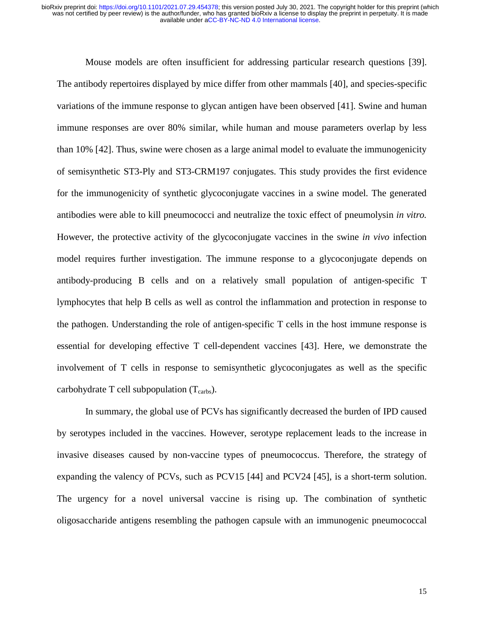Mouse models are often insufficient for addressing particular research questions [39]. The antibody repertoires displayed by mice differ from other mammals [40], and species-specific variations of the immune response to glycan antigen have been observed [41]. Swine and human immune responses are over 80% similar, while human and mouse parameters overlap by less than 10% [42]. Thus, swine were chosen as a large animal model to evaluate the immunogenicity of semisynthetic ST3-Ply and ST3-CRM197 conjugates. This study provides the first evidence for the immunogenicity of synthetic glycoconjugate vaccines in a swine model. The generated antibodies were able to kill pneumococci and neutralize the toxic effect of pneumolysin *in vitro.*  However, the protective activity of the glycoconjugate vaccines in the swine *in vivo* infection model requires further investigation. The immune response to a glycoconjugate depends on antibody-producing B cells and on a relatively small population of antigen-specific T lymphocytes that help B cells as well as control the inflammation and protection in response to the pathogen. Understanding the role of antigen-specific T cells in the host immune response is essential for developing effective T cell-dependent vaccines [43]. Here, we demonstrate the involvement of T cells in response to semisynthetic glycoconjugates as well as the specific carbohydrate T cell subpopulation  $(T_{\text{carbs}})$ .

In summary, the global use of PCVs has significantly decreased the burden of IPD caused by serotypes included in the vaccines. However, serotype replacement leads to the increase in invasive diseases caused by non-vaccine types of pneumococcus. Therefore, the strategy of expanding the valency of PCVs, such as PCV15 [44] and PCV24 [45], is a short-term solution. The urgency for a novel universal vaccine is rising up. The combination of synthetic oligosaccharide antigens resembling the pathogen capsule with an immunogenic pneumococcal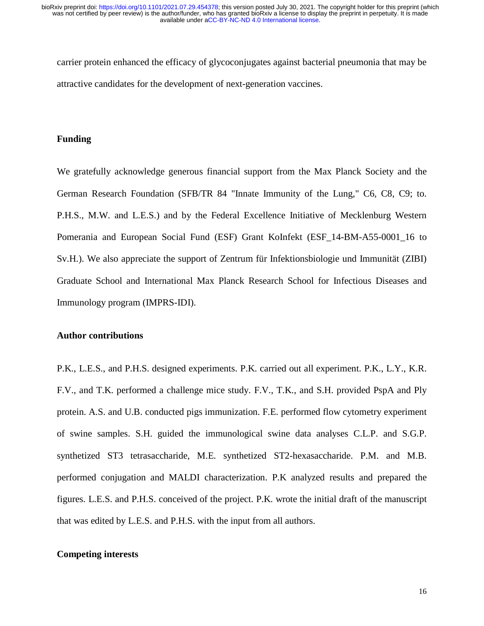carrier protein enhanced the efficacy of glycoconjugates against bacterial pneumonia that may be attractive candidates for the development of next-generation vaccines.

# **Funding**

We gratefully acknowledge generous financial support from the Max Planck Society and the German Research Foundation (SFB/TR 84 "Innate Immunity of the Lung," C6, C8, C9; to. P.H.S., M.W. and L.E.S.) and by the Federal Excellence Initiative of Mecklenburg Western Pomerania and European Social Fund (ESF) Grant KoInfekt (ESF\_14-BM-A55-0001\_16 to Sv.H.). We also appreciate the support of Zentrum für Infektionsbiologie und Immunität (ZIBI) Graduate School and International Max Planck Research School for Infectious Diseases and Immunology program (IMPRS-IDI).

#### **Author contributions**

P.K., L.E.S., and P.H.S. designed experiments. P.K. carried out all experiment. P.K., L.Y., K.R. F.V., and T.K. performed a challenge mice study. F.V., T.K., and S.H. provided PspA and Ply protein. A.S. and U.B. conducted pigs immunization. F.E. performed flow cytometry experiment of swine samples. S.H. guided the immunological swine data analyses C.L.P. and S.G.P. synthetized ST3 tetrasaccharide, M.E. synthetized ST2-hexasaccharide. P.M. and M.B. performed conjugation and MALDI characterization. P.K analyzed results and prepared the figures. L.E.S. and P.H.S. conceived of the project. P.K. wrote the initial draft of the manuscript that was edited by L.E.S. and P.H.S. with the input from all authors.

# **Competing interests**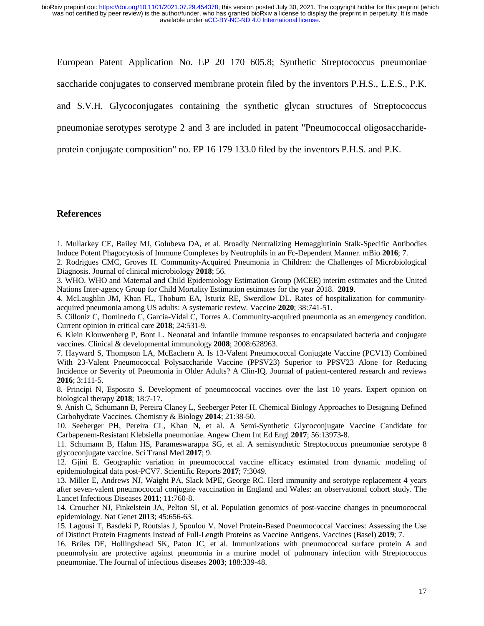European Patent Application No. EP 20 170 605.8; Synthetic Streptococcus pneumoniae

saccharide conjugates to conserved membrane protein filed by the inventors P.H.S., L.E.S., P.K.

and S.V.H. Glycoconjugates containing the synthetic glycan structures of Streptococcus

pneumoniae serotypes serotype 2 and 3 are included in patent "Pneumococcal oligosaccharide-

protein conjugate composition" no. EP 16 179 133.0 filed by the inventors P.H.S. and P.K.

## **References**

1. Mullarkey CE, Bailey MJ, Golubeva DA, et al. Broadly Neutralizing Hemagglutinin Stalk-Specific Antibodies Induce Potent Phagocytosis of Immune Complexes by Neutrophils in an Fc-Dependent Manner. mBio **2016**; 7.

2. Rodrigues CMC, Groves H. Community-Acquired Pneumonia in Children: the Challenges of Microbiological Diagnosis. Journal of clinical microbiology **2018**; 56.

3. WHO. WHO and Maternal and Child Epidemiology Estimation Group (MCEE) interim estimates and the United Nations Inter-agency Group for Child Mortality Estimation estimates for the year 2018. **2019**.

4. McLaughlin JM, Khan FL, Thoburn EA, Isturiz RE, Swerdlow DL. Rates of hospitalization for communityacquired pneumonia among US adults: A systematic review. Vaccine **2020**; 38:741-51.

5. Cilloniz C, Dominedo C, Garcia-Vidal C, Torres A. Community-acquired pneumonia as an emergency condition. Current opinion in critical care **2018**; 24:531-9.

6. Klein Klouwenberg P, Bont L. Neonatal and infantile immune responses to encapsulated bacteria and conjugate vaccines. Clinical & developmental immunology **2008**; 2008:628963.

7. Hayward S, Thompson LA, McEachern A. Is 13-Valent Pneumococcal Conjugate Vaccine (PCV13) Combined With 23-Valent Pneumococcal Polysaccharide Vaccine (PPSV23) Superior to PPSV23 Alone for Reducing Incidence or Severity of Pneumonia in Older Adults? A Clin-IQ. Journal of patient-centered research and reviews **2016**; 3:111-5.

8. Principi N, Esposito S. Development of pneumococcal vaccines over the last 10 years. Expert opinion on biological therapy **2018**; 18:7-17.

9. Anish C, Schumann B, Pereira Claney L, Seeberger Peter H. Chemical Biology Approaches to Designing Defined Carbohydrate Vaccines. Chemistry & Biology **2014**; 21:38-50.

10. Seeberger PH, Pereira CL, Khan N, et al. A Semi-Synthetic Glycoconjugate Vaccine Candidate for Carbapenem-Resistant Klebsiella pneumoniae. Angew Chem Int Ed Engl **2017**; 56:13973-8.

11. Schumann B, Hahm HS, Parameswarappa SG, et al. A semisynthetic Streptococcus pneumoniae serotype 8 glycoconjugate vaccine. Sci Transl Med **2017**; 9.

12. Gjini E. Geographic variation in pneumococcal vaccine efficacy estimated from dynamic modeling of epidemiological data post-PCV7. Scientific Reports **2017**; 7:3049.

13. Miller E, Andrews NJ, Waight PA, Slack MPE, George RC. Herd immunity and serotype replacement 4 years after seven-valent pneumococcal conjugate vaccination in England and Wales: an observational cohort study. The Lancet Infectious Diseases **2011**; 11:760-8.

14. Croucher NJ, Finkelstein JA, Pelton SI, et al. Population genomics of post-vaccine changes in pneumococcal epidemiology. Nat Genet **2013**; 45:656-63.

15. Lagousi T, Basdeki P, Routsias J, Spoulou V. Novel Protein-Based Pneumococcal Vaccines: Assessing the Use of Distinct Protein Fragments Instead of Full-Length Proteins as Vaccine Antigens. Vaccines (Basel) **2019**; 7.

16. Briles DE, Hollingshead SK, Paton JC, et al. Immunizations with pneumococcal surface protein A and pneumolysin are protective against pneumonia in a murine model of pulmonary infection with Streptococcus pneumoniae. The Journal of infectious diseases **2003**; 188:339-48.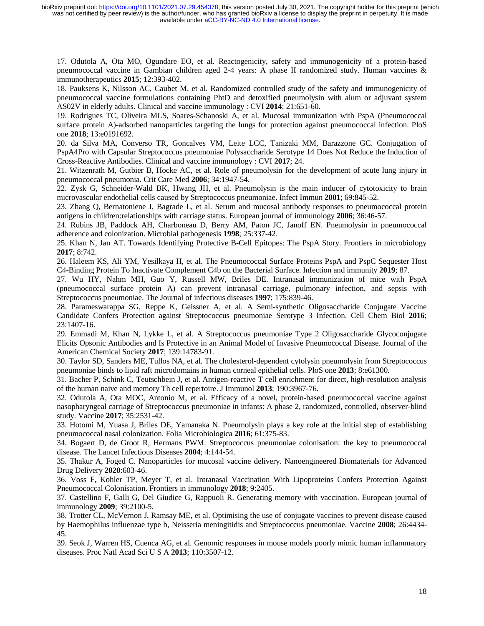17. Odutola A, Ota MO, Ogundare EO, et al. Reactogenicity, safety and immunogenicity of a protein-based pneumococcal vaccine in Gambian children aged 2-4 years: A phase II randomized study. Human vaccines & immunotherapeutics **2015**; 12:393-402.

18. Pauksens K, Nilsson AC, Caubet M, et al. Randomized controlled study of the safety and immunogenicity of pneumococcal vaccine formulations containing PhtD and detoxified pneumolysin with alum or adjuvant system AS02V in elderly adults. Clinical and vaccine immunology : CVI **2014**; 21:651-60.

19. Rodrigues TC, Oliveira MLS, Soares-Schanoski A, et al. Mucosal immunization with PspA (Pneumococcal surface protein A)-adsorbed nanoparticles targeting the lungs for protection against pneumococcal infection. PloS one **2018**; 13:e0191692.

20. da Silva MA, Converso TR, Goncalves VM, Leite LCC, Tanizaki MM, Barazzone GC. Conjugation of PspA4Pro with Capsular Streptococcus pneumoniae Polysaccharide Serotype 14 Does Not Reduce the Induction of Cross-Reactive Antibodies. Clinical and vaccine immunology : CVI **2017**; 24.

21. Witzenrath M, Gutbier B, Hocke AC, et al. Role of pneumolysin for the development of acute lung injury in pneumococcal pneumonia. Crit Care Med **2006**; 34:1947-54.

22. Zysk G, Schneider-Wald BK, Hwang JH, et al. Pneumolysin is the main inducer of cytotoxicity to brain microvascular endothelial cells caused by Streptococcus pneumoniae. Infect Immun **2001**; 69:845-52.

23. Zhang Q, Bernatoniene J, Bagrade L, et al. Serum and mucosal antibody responses to pneumococcal protein antigens in children:relationships with carriage status. European journal of immunology **2006**; 36:46-57.

24. Rubins JB, Paddock AH, Charboneau D, Berry AM, Paton JC, Janoff EN. Pneumolysin in pneumococcal adherence and colonization. Microbial pathogenesis **1998**; 25:337-42.

25. Khan N, Jan AT. Towards Identifying Protective B-Cell Epitopes: The PspA Story. Frontiers in microbiology **2017**; 8:742.

26. Haleem KS, Ali YM, Yesilkaya H, et al. The Pneumococcal Surface Proteins PspA and PspC Sequester Host C4-Binding Protein To Inactivate Complement C4b on the Bacterial Surface. Infection and immunity **2019**; 87.

27. Wu HY, Nahm MH, Guo Y, Russell MW, Briles DE. Intranasal immunization of mice with PspA (pneumococcal surface protein A) can prevent intranasal carriage, pulmonary infection, and sepsis with Streptococcus pneumoniae. The Journal of infectious diseases **1997**; 175:839-46.

28. Parameswarappa SG, Reppe K, Geissner A, et al. A Semi-synthetic Oligosaccharide Conjugate Vaccine Candidate Confers Protection against Streptococcus pneumoniae Serotype 3 Infection. Cell Chem Biol **2016**; 23:1407-16.

29. Emmadi M, Khan N, Lykke L, et al. A Streptococcus pneumoniae Type 2 Oligosaccharide Glycoconjugate Elicits Opsonic Antibodies and Is Protective in an Animal Model of Invasive Pneumococcal Disease. Journal of the American Chemical Society **2017**; 139:14783-91.

30. Taylor SD, Sanders ME, Tullos NA, et al. The cholesterol-dependent cytolysin pneumolysin from Streptococcus pneumoniae binds to lipid raft microdomains in human corneal epithelial cells. PloS one **2013**; 8:e61300.

31. Bacher P, Schink C, Teutschbein J, et al. Antigen-reactive T cell enrichment for direct, high-resolution analysis of the human naive and memory Th cell repertoire. J Immunol **2013**; 190:3967-76.

32. Odutola A, Ota MOC, Antonio M, et al. Efficacy of a novel, protein-based pneumococcal vaccine against nasopharyngeal carriage of Streptococcus pneumoniae in infants: A phase 2, randomized, controlled, observer-blind study. Vaccine **2017**; 35:2531-42.

33. Hotomi M, Yuasa J, Briles DE, Yamanaka N. Pneumolysin plays a key role at the initial step of establishing pneumococcal nasal colonization. Folia Microbiologica **2016**; 61:375-83.

34. Bogaert D, de Groot R, Hermans PWM. Streptococcus pneumoniae colonisation: the key to pneumococcal disease. The Lancet Infectious Diseases **2004**; 4:144-54.

35. Thakur A, Foged C. Nanoparticles for mucosal vaccine delivery. Nanoengineered Biomaterials for Advanced Drug Delivery **2020**:603-46.

36. Voss F, Kohler TP, Meyer T, et al. Intranasal Vaccination With Lipoproteins Confers Protection Against Pneumococcal Colonisation. Frontiers in immunology **2018**; 9:2405.

37. Castellino F, Galli G, Del Giudice G, Rappuoli R. Generating memory with vaccination. European journal of immunology **2009**; 39:2100-5.

38. Trotter CL, McVernon J, Ramsay ME, et al. Optimising the use of conjugate vaccines to prevent disease caused by Haemophilus influenzae type b, Neisseria meningitidis and Streptococcus pneumoniae. Vaccine **2008**; 26:4434- 45.

39. Seok J, Warren HS, Cuenca AG, et al. Genomic responses in mouse models poorly mimic human inflammatory diseases. Proc Natl Acad Sci U S A **2013**; 110:3507-12.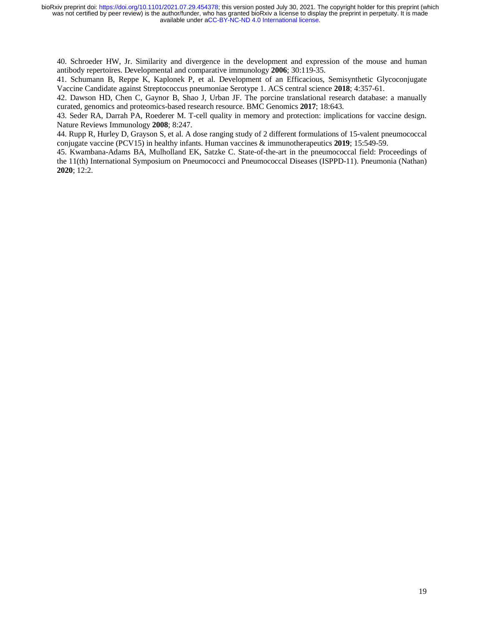40. Schroeder HW, Jr. Similarity and divergence in the development and expression of the mouse and human antibody repertoires. Developmental and comparative immunology **2006**; 30:119-35.

41. Schumann B, Reppe K, Kaplonek P, et al. Development of an Efficacious, Semisynthetic Glycoconjugate Vaccine Candidate against Streptococcus pneumoniae Serotype 1. ACS central science **2018**; 4:357-61.

42. Dawson HD, Chen C, Gaynor B, Shao J, Urban JF. The porcine translational research database: a manually curated, genomics and proteomics-based research resource. BMC Genomics **2017**; 18:643.

43. Seder RA, Darrah PA, Roederer M. T-cell quality in memory and protection: implications for vaccine design. Nature Reviews Immunology **2008**; 8:247.

44. Rupp R, Hurley D, Grayson S, et al. A dose ranging study of 2 different formulations of 15-valent pneumococcal conjugate vaccine (PCV15) in healthy infants. Human vaccines & immunotherapeutics **2019**; 15:549-59.

45. Kwambana-Adams BA, Mulholland EK, Satzke C. State-of-the-art in the pneumococcal field: Proceedings of the 11(th) International Symposium on Pneumococci and Pneumococcal Diseases (ISPPD-11). Pneumonia (Nathan) **2020**; 12:2.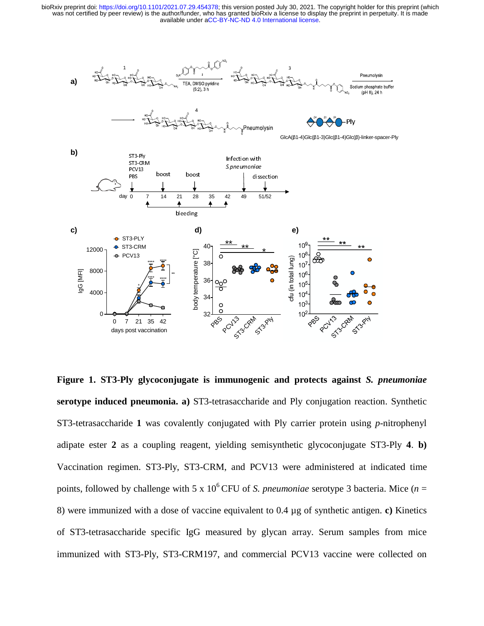

**Figure 1. ST3-Ply glycoconjugate is immunogenic and protects against** *S. pneumoniae* **serotype induced pneumonia. a)** ST3-tetrasaccharide and Ply conjugation reaction. Synthetic ST3-tetrasaccharide **1** was covalently conjugated with Ply carrier protein using *p*-nitrophenyl adipate ester **2** as a coupling reagent, yielding semisynthetic glycoconjugate ST3-Ply **4**. **b)**  Vaccination regimen. ST3-Ply, ST3-CRM, and PCV13 were administered at indicated time points, followed by challenge with 5 x 10<sup>6</sup> CFU of *S. pneumoniae* serotype 3 bacteria. Mice (*n* = 8) were immunized with a dose of vaccine equivalent to 0.4 µg of synthetic antigen. **c)** Kinetics of ST3-tetrasaccharide specific IgG measured by glycan array. Serum samples from mice immunized with ST3-Ply, ST3-CRM197, and commercial PCV13 vaccine were collected on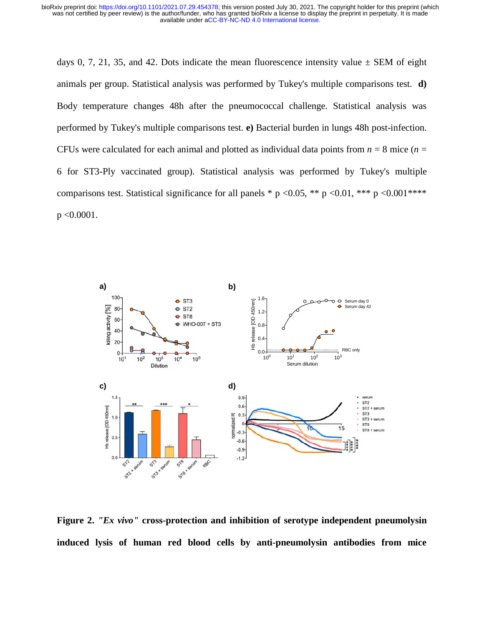days 0, 7, 21, 35, and 42. Dots indicate the mean fluorescence intensity value  $\pm$  SEM of eight animals per group. Statistical analysis was performed by Tukey's multiple comparisons test. **d)**  Body temperature changes 48h after the pneumococcal challenge. Statistical analysis was performed by Tukey's multiple comparisons test. **e)** Bacterial burden in lungs 48h post-infection. CFUs were calculated for each animal and plotted as individual data points from  $n = 8$  mice ( $n =$ 6 for ST3-Ply vaccinated group). Statistical analysis was performed by Tukey's multiple comparisons test. Statistical significance for all panels \* p <0.05, \*\* p <0.01, \*\*\* p <0.001 \*\*\*\* p <0.0001.



**Figure 2.** *"Ex vivo"* **cross-protection and inhibition of serotype independent pneumolysin induced lysis of human red blood cells by anti-pneumolysin antibodies from mice**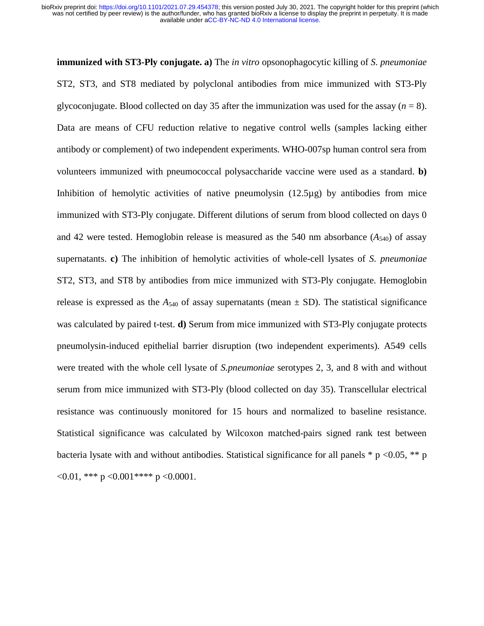**immunized with ST3-Ply conjugate. a)** The *in vitro* opsonophagocytic killing of *S. pneumoniae* ST2, ST3, and ST8 mediated by polyclonal antibodies from mice immunized with ST3-Ply glycoconjugate. Blood collected on day 35 after the immunization was used for the assay  $(n = 8)$ . Data are means of CFU reduction relative to negative control wells (samples lacking either antibody or complement) of two independent experiments. WHO-007sp human control sera from volunteers immunized with pneumococcal polysaccharide vaccine were used as a standard. **b)**  Inhibition of hemolytic activities of native pneumolysin  $(12.5\mu g)$  by antibodies from mice immunized with ST3-Ply conjugate. Different dilutions of serum from blood collected on days 0 and 42 were tested. Hemoglobin release is measured as the 540 nm absorbance  $(A_{540})$  of assay supernatants. **c)** The inhibition of hemolytic activities of whole-cell lysates of *S. pneumoniae* ST2, ST3, and ST8 by antibodies from mice immunized with ST3-Ply conjugate. Hemoglobin release is expressed as the  $A_{540}$  of assay supernatants (mean  $\pm$  SD). The statistical significance was calculated by paired t-test. **d)** Serum from mice immunized with ST3-Ply conjugate protects pneumolysin-induced epithelial barrier disruption (two independent experiments). A549 cells were treated with the whole cell lysate of *S.pneumoniae* serotypes 2, 3, and 8 with and without serum from mice immunized with ST3-Ply (blood collected on day 35). Transcellular electrical resistance was continuously monitored for 15 hours and normalized to baseline resistance. Statistical significance was calculated by Wilcoxon matched-pairs signed rank test between bacteria lysate with and without antibodies. Statistical significance for all panels  $* p < 0.05$ ,  $** p$  $\langle 0.01, **p \langle 0.001^{***} p \langle 0.0001 \rangle$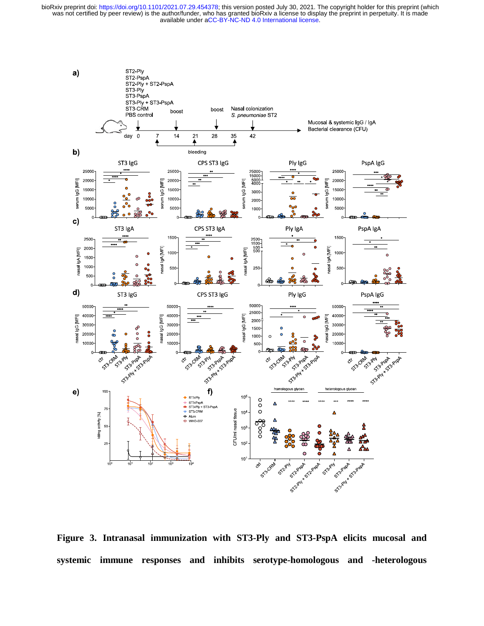

**Figure 3. Intranasal immunization with ST3-Ply and ST3-PspA elicits mucosal and systemic immune responses and inhibits serotype-homologous and -heterologous**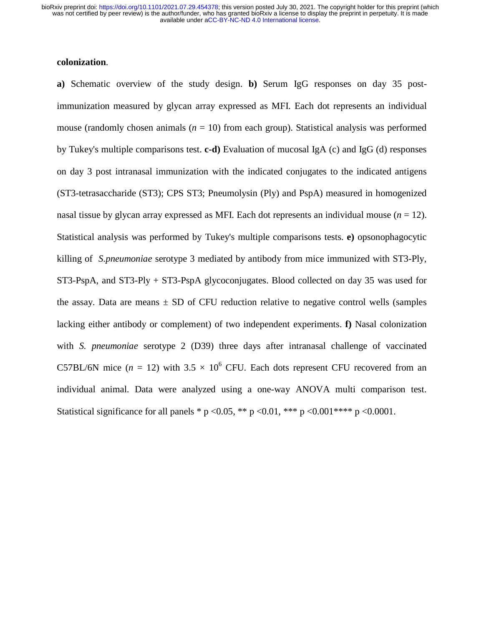# **colonization**.

**a)** Schematic overview of the study design. **b)** Serum IgG responses on day 35 postimmunization measured by glycan array expressed as MFI. Each dot represents an individual mouse (randomly chosen animals  $(n = 10)$  from each group). Statistical analysis was performed by Tukey's multiple comparisons test. **c-d)** Evaluation of mucosal IgA (c) and IgG (d) responses on day 3 post intranasal immunization with the indicated conjugates to the indicated antigens (ST3-tetrasaccharide (ST3); CPS ST3; Pneumolysin (Ply) and PspA) measured in homogenized nasal tissue by glycan array expressed as MFI. Each dot represents an individual mouse  $(n = 12)$ . Statistical analysis was performed by Tukey's multiple comparisons tests. **e)** opsonophagocytic killing of *S.pneumoniae* serotype 3 mediated by antibody from mice immunized with ST3-Ply, ST3-PspA, and ST3-Ply + ST3-PspA glycoconjugates. Blood collected on day 35 was used for the assay. Data are means  $\pm$  SD of CFU reduction relative to negative control wells (samples lacking either antibody or complement) of two independent experiments. **f)** Nasal colonization with *S. pneumoniae* serotype 2 (D39) three days after intranasal challenge of vaccinated C57BL/6N mice  $(n = 12)$  with  $3.5 \times 10^6$  CFU. Each dots represent CFU recovered from an individual animal. Data were analyzed using a one-way ANOVA multi comparison test. Statistical significance for all panels \* p < 0.05, \*\* p < 0.01, \*\*\* p < 0.001 \*\*\* p < 0.0001.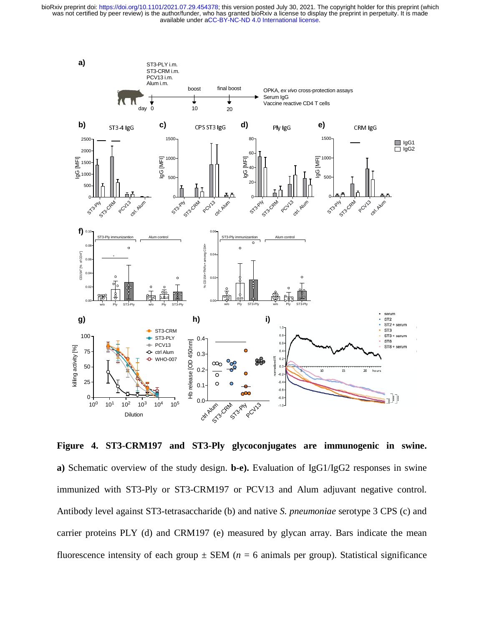

**Figure 4. ST3-CRM197 and ST3-Ply glycoconjugates are immunogenic in swine. a)** Schematic overview of the study design. **b-e).** Evaluation of IgG1/IgG2 responses in swine immunized with ST3-Ply or ST3-CRM197 or PCV13 and Alum adjuvant negative control. Antibody level against ST3-tetrasaccharide (b) and native *S. pneumoniae* serotype 3 CPS (c) and carrier proteins PLY (d) and CRM197 (e) measured by glycan array. Bars indicate the mean fluorescence intensity of each group  $\pm$  SEM ( $n = 6$  animals per group). Statistical significance